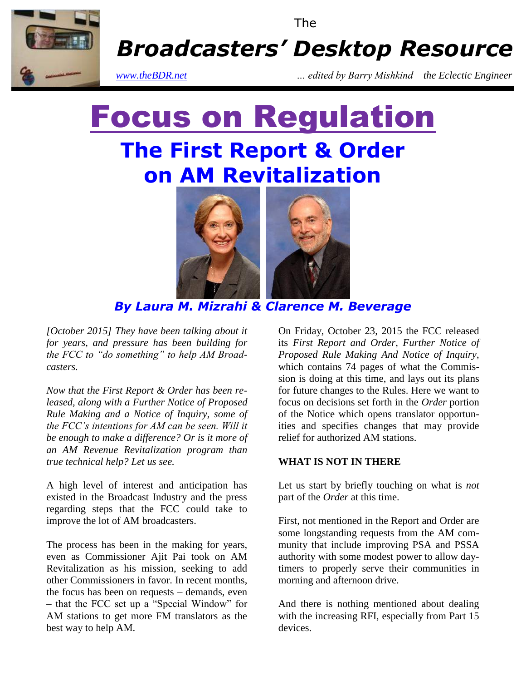

The

*Broadcasters' Desktop Resource*

*www.theBDR.net … edited by Barry Mishkind – the Eclectic Engineer*

# Focus on Regulation **The First Report & Order on AM Revitalization**



*By Laura M. Mizrahi & Clarence M. Beverage*

*[October 2015] They have been talking about it for years, and pressure has been building for the FCC to "do something" to help AM Broadcasters.*

*Now that the First Report & Order has been released, along with a Further Notice of Proposed Rule Making and a Notice of Inquiry, some of the FCC's intentions for AM can be seen. Will it be enough to make a difference? Or is it more of an AM Revenue Revitalization program than true technical help? Let us see.*

A high level of interest and anticipation has existed in the Broadcast Industry and the press regarding steps that the FCC could take to improve the lot of AM broadcasters.

The process has been in the making for years, even as Commissioner Ajit Pai took on AM Revitalization as his mission, seeking to add other Commissioners in favor. In recent months, the focus has been on requests – demands, even – that the FCC set up a "Special Window" for AM stations to get more FM translators as the best way to help AM.

On Friday, October 23, 2015 the FCC released its *First Report and Order, Further Notice of Proposed Rule Making And Notice of Inquiry*, which contains 74 pages of what the Commission is doing at this time, and lays out its plans for future changes to the Rules. Here we want to focus on decisions set forth in the *Order* portion of the Notice which opens translator opportunities and specifies changes that may provide relief for authorized AM stations.

# **WHAT IS NOT IN THERE**

Let us start by briefly touching on what is *not* part of the *Order* at this time.

First, not mentioned in the Report and Order are some longstanding requests from the AM community that include improving PSA and PSSA authority with some modest power to allow daytimers to properly serve their communities in morning and afternoon drive.

And there is nothing mentioned about dealing with the increasing RFI, especially from Part 15 devices.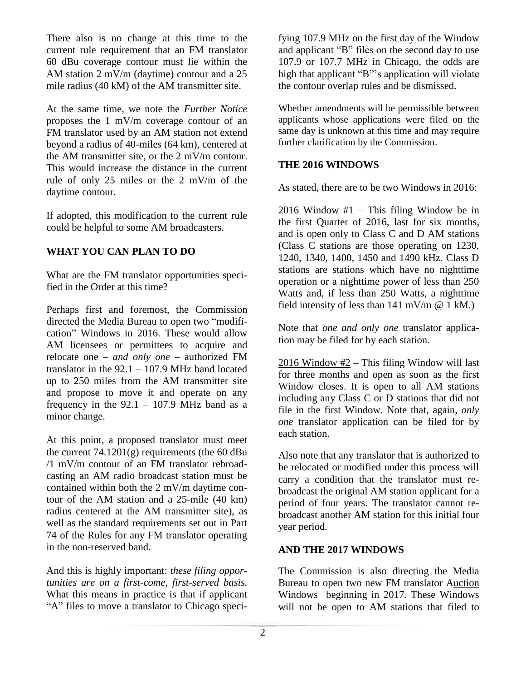There also is no change at this time to the current rule requirement that an FM translator 60 dBu coverage contour must lie within the AM station 2 mV/m (daytime) contour and a 25 mile radius (40 kM) of the AM transmitter site.

At the same time, we note the *Further Notice* proposes the 1 mV/m coverage contour of an FM translator used by an AM station not extend beyond a radius of 40-miles (64 km), centered at the AM transmitter site, or the 2 mV/m contour. This would increase the distance in the current rule of only 25 miles or the 2 mV/m of the daytime contour.

If adopted, this modification to the current rule could be helpful to some AM broadcasters.

# **WHAT YOU CAN PLAN TO DO**

What are the FM translator opportunities specified in the Order at this time?

Perhaps first and foremost, the Commission directed the Media Bureau to open two "modification" Windows in 2016. These would allow AM licensees or permittees to acquire and relocate one – *and only one –* authorized FM translator in the  $92.1 - 107.9$  MHz band located up to 250 miles from the AM transmitter site and propose to move it and operate on any frequency in the  $92.1 - 107.9$  MHz band as a minor change.

At this point, a proposed translator must meet the current  $74.1201(g)$  requirements (the 60 dBu /1 mV/m contour of an FM translator rebroadcasting an AM radio broadcast station must be contained within both the 2 mV/m daytime contour of the AM station and a 25-mile (40 km) radius centered at the AM transmitter site), as well as the standard requirements set out in Part 74 of the Rules for any FM translator operating in the non-reserved band.

And this is highly important: *these filing opportunities are on a first-come, first-served basis.* What this means in practice is that if applicant "A" files to move a translator to Chicago specifying 107.9 MHz on the first day of the Window and applicant "B" files on the second day to use 107.9 or 107.7 MHz in Chicago, the odds are high that applicant "B"'s application will violate the contour overlap rules and be dismissed.

Whether amendments will be permissible between applicants whose applications were filed on the same day is unknown at this time and may require further clarification by the Commission.

# **THE 2016 WINDOWS**

As stated, there are to be two Windows in 2016:

2016 Window #1 – This filing Window be in the first Quarter of 2016, last for six months, and is open only to Class C and D AM stations (Class C stations are those operating on 1230, 1240, 1340, 1400, 1450 and 1490 kHz. Class D stations are stations which have no nighttime operation or a nighttime power of less than 250 Watts and, if less than 250 Watts, a nighttime field intensity of less than  $141 \text{ mV/m}$  @ 1 kM.)

Note that *one and only one* translator application may be filed for by each station.

2016 Window #2 – This filing Window will last for three months and open as soon as the first Window closes. It is open to all AM stations including any Class C or D stations that did not file in the first Window. Note that, again, *only one* translator application can be filed for by each station.

Also note that any translator that is authorized to be relocated or modified under this process will carry a condition that the translator must rebroadcast the original AM station applicant for a period of four years. The translator cannot rebroadcast another AM station for this initial four year period.

# **AND THE 2017 WINDOWS**

The Commission is also directing the Media Bureau to open two new FM translator Auction Windows beginning in 2017. These Windows will not be open to AM stations that filed to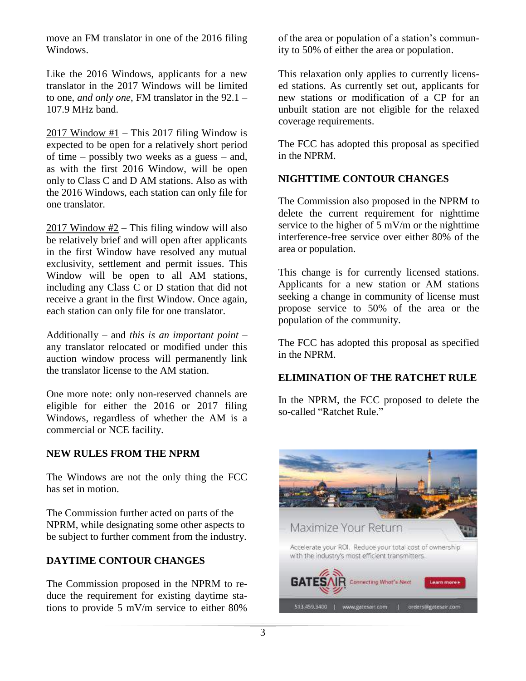move an FM translator in one of the 2016 filing Windows.

Like the 2016 Windows, applicants for a new translator in the 2017 Windows will be limited to one, *and only one*, FM translator in the 92.1 – 107.9 MHz band.

2017 Window #1 – This 2017 filing Window is expected to be open for a relatively short period of time – possibly two weeks as a guess – and, as with the first 2016 Window, will be open only to Class C and D AM stations. Also as with the 2016 Windows, each station can only file for one translator.

2017 Window #2 – This filing window will also be relatively brief and will open after applicants in the first Window have resolved any mutual exclusivity, settlement and permit issues. This Window will be open to all AM stations, including any Class C or D station that did not receive a grant in the first Window. Once again, each station can only file for one translator.

Additionally – and *this is an important point* – any translator relocated or modified under this auction window process will permanently link the translator license to the AM station.

One more note: only non-reserved channels are eligible for either the 2016 or 2017 filing Windows, regardless of whether the AM is a commercial or NCE facility.

# **NEW RULES FROM THE NPRM**

The Windows are not the only thing the FCC has set in motion.

The Commission further acted on parts of the NPRM, while designating some other aspects to be subject to further comment from the industry.

# **DAYTIME CONTOUR CHANGES**

The Commission proposed in the NPRM to reduce the requirement for existing daytime stations to provide 5 mV/m service to either 80%

of the area or population of a station's community to 50% of either the area or population.

This relaxation only applies to currently licensed stations. As currently set out, applicants for new stations or modification of a CP for an unbuilt station are not eligible for the relaxed coverage requirements.

The FCC has adopted this proposal as specified in the NPRM.

#### **NIGHTTIME CONTOUR CHANGES**

The Commission also proposed in the NPRM to delete the current requirement for nighttime service to the higher of  $\frac{1}{2}$  mV/m or the nighttime interference-free service over either 80% of the area or population.

This change is for currently licensed stations. Applicants for a new station or AM stations seeking a change in community of license must propose service to 50% of the area or the population of the community.

The FCC has adopted this proposal as specified in the NPRM.

#### **ELIMINATION OF THE RATCHET RULE**

In the NPRM, the FCC proposed to delete the so-called "Ratchet Rule."